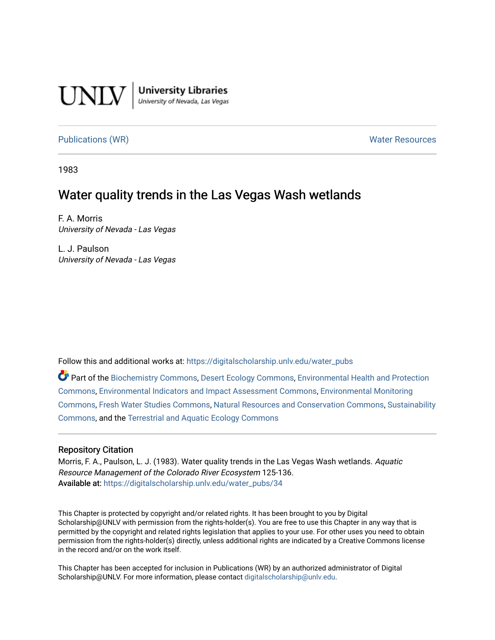

**University Libraries**<br>University of Nevada, Las Vegas

[Publications \(WR\)](https://digitalscholarship.unlv.edu/water_pubs) Notifiable Resources and Mater Resources and Mater Resources

1983

# Water quality trends in the Las Vegas Wash wetlands

F. A. Morris University of Nevada - Las Vegas

L. J. Paulson University of Nevada - Las Vegas

Follow this and additional works at: [https://digitalscholarship.unlv.edu/water\\_pubs](https://digitalscholarship.unlv.edu/water_pubs?utm_source=digitalscholarship.unlv.edu%2Fwater_pubs%2F34&utm_medium=PDF&utm_campaign=PDFCoverPages) 

Part of the [Biochemistry Commons](http://network.bepress.com/hgg/discipline/2?utm_source=digitalscholarship.unlv.edu%2Fwater_pubs%2F34&utm_medium=PDF&utm_campaign=PDFCoverPages), [Desert Ecology Commons,](http://network.bepress.com/hgg/discipline/1261?utm_source=digitalscholarship.unlv.edu%2Fwater_pubs%2F34&utm_medium=PDF&utm_campaign=PDFCoverPages) [Environmental Health and Protection](http://network.bepress.com/hgg/discipline/172?utm_source=digitalscholarship.unlv.edu%2Fwater_pubs%2F34&utm_medium=PDF&utm_campaign=PDFCoverPages)  [Commons](http://network.bepress.com/hgg/discipline/172?utm_source=digitalscholarship.unlv.edu%2Fwater_pubs%2F34&utm_medium=PDF&utm_campaign=PDFCoverPages), [Environmental Indicators and Impact Assessment Commons](http://network.bepress.com/hgg/discipline/1015?utm_source=digitalscholarship.unlv.edu%2Fwater_pubs%2F34&utm_medium=PDF&utm_campaign=PDFCoverPages), [Environmental Monitoring](http://network.bepress.com/hgg/discipline/931?utm_source=digitalscholarship.unlv.edu%2Fwater_pubs%2F34&utm_medium=PDF&utm_campaign=PDFCoverPages)  [Commons](http://network.bepress.com/hgg/discipline/931?utm_source=digitalscholarship.unlv.edu%2Fwater_pubs%2F34&utm_medium=PDF&utm_campaign=PDFCoverPages), [Fresh Water Studies Commons](http://network.bepress.com/hgg/discipline/189?utm_source=digitalscholarship.unlv.edu%2Fwater_pubs%2F34&utm_medium=PDF&utm_campaign=PDFCoverPages), [Natural Resources and Conservation Commons](http://network.bepress.com/hgg/discipline/168?utm_source=digitalscholarship.unlv.edu%2Fwater_pubs%2F34&utm_medium=PDF&utm_campaign=PDFCoverPages), [Sustainability](http://network.bepress.com/hgg/discipline/1031?utm_source=digitalscholarship.unlv.edu%2Fwater_pubs%2F34&utm_medium=PDF&utm_campaign=PDFCoverPages) [Commons](http://network.bepress.com/hgg/discipline/1031?utm_source=digitalscholarship.unlv.edu%2Fwater_pubs%2F34&utm_medium=PDF&utm_campaign=PDFCoverPages), and the [Terrestrial and Aquatic Ecology Commons](http://network.bepress.com/hgg/discipline/20?utm_source=digitalscholarship.unlv.edu%2Fwater_pubs%2F34&utm_medium=PDF&utm_campaign=PDFCoverPages) 

# Repository Citation

Morris, F. A., Paulson, L. J. (1983). Water quality trends in the Las Vegas Wash wetlands. Aquatic Resource Management of the Colorado River Ecosystem 125-136. Available at: [https://digitalscholarship.unlv.edu/water\\_pubs/34](https://digitalscholarship.unlv.edu/water_pubs/34) 

This Chapter is protected by copyright and/or related rights. It has been brought to you by Digital Scholarship@UNLV with permission from the rights-holder(s). You are free to use this Chapter in any way that is permitted by the copyright and related rights legislation that applies to your use. For other uses you need to obtain permission from the rights-holder(s) directly, unless additional rights are indicated by a Creative Commons license in the record and/or on the work itself.

This Chapter has been accepted for inclusion in Publications (WR) by an authorized administrator of Digital Scholarship@UNLV. For more information, please contact [digitalscholarship@unlv.edu.](mailto:digitalscholarship@unlv.edu)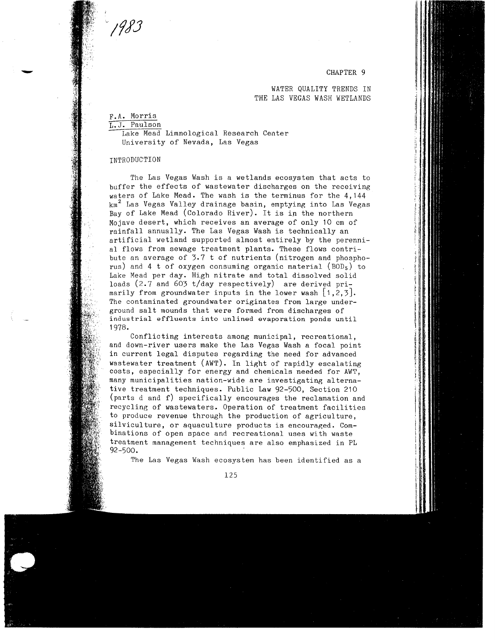CHAPTER 9

# WATER QUALITY TRENDS IN THE LAS VEGAS WASH WETLANDS

F.A. Morris L.J. Paulson Lake Mead Limnological Research Center

University of Nevada, Las Vegas

# INTRODUCTION

The Las Vegas Wash is a wetlands ecosystem that acts to buffer the effects of wastewater discharges on the receiving waters of Lake Mead. The wash is the terminus for the 4,144 km<sup>2</sup> Las Vegas Valley drainage basin, emptying into Las Vegas Bay of Lake Mead (Colorado River). It is in the northern Mojave desert, which receives an average of only 10 cm of rainfall annually. The Las Vegas Wash is technically an artificial wetland supported almost entirely by the perenni al flows from sewage treatment plants. These flows contri bute an average of 3-7 t of nutrients (nitrogen and phospho rus) and 4 t of oxygen consuming organic material  $(BOD<sub>5</sub>)$  to Lake Mead per day. High nitrate and total dissolved solid loads (2.7 and 603 t/day respectively) are derived pri marily from groundwater inputs in the lower wash  $\lfloor 1, 2, 3 \rfloor$ . The contaminated groundwater originates from large under ground salt mounds that were formed from discharges of industrial effluents into unlined evaporation ponds until 1978.

Conflicting interests among municipal, recreational, and down-river users make the Las Vegas Wash a focal point in current legal disputes regarding the need for advanced wastewater treatment (AWT). In light of rapidly escalating costs, especially for energy and chemicals needed for AWT, many municipalities nation-wide are investigating alterna tive treatment techniques. Public Law 92-500, Section 210 (parts d and f) specifically encourages the reclamation and recycling of wastewaters. Operation of treatment facilities to produce revenue through the production of agriculture, silviculture, or aquaculture products is encouraged. Com binations of open space and recreational uses with waste treatment management techniques are also emphasized in PL 92-500.

The Las Vegas Wash ecosystem has been identified as a

125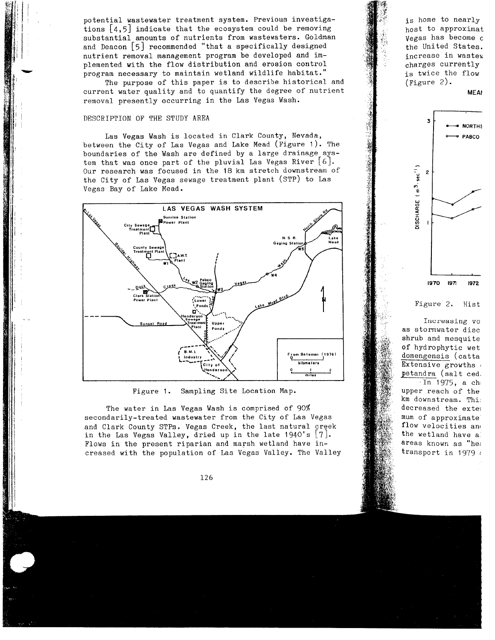potential wastewater treatment system. Previous investiga tions  $[4,5]$  indicate that the ecosystem could be removing substantial amounts of nutrients from wastewaters. Goldman and Deacon [5] recommended "that a specifically designed nutrient removal management program be developed and im plemented with the flow distribution and erosion control program necessary to maintain wetland wildlife habitat."

The purpose of this paper is to describe historical and current water quality and to quantify the degree of nutrient removal presently occurring in the Las Vegas Wash.

## DESCRIPTION OF THE STUDY AREA

Las Vegas Wash is located in Clark County, Nevada, between the City of Las Vegas and Lake Mead (Figure 1). The boundaries of the Wash are defined by a large drainage sys tem that was once part of the pluvial Las Vegas River  $[6]$ . Our research was focused in the 18 km stretch downstream of the City of Las Vegas sewage treatment plant (STP) to Las Vegas Bay of Lake Mead.



Figure 1. Sampling Site Location Map.

The water in Las Vegas Wash is comprised of 90\$ secondarily-treated wastewater from the City of Las Vegas and Clark County STPs. Vegas Creek, the last natural creek in the Las Vegas Valley, dried up in the late 1940's  $[7]$ . Flows in the present riparian and marsh wetland have in creased with the population of Las Vegas Valley. The Valley

126

is home to nearly host to approximat Vegas has become c the United States, increase in wastev, charges currently is twice the flow (Figure 2).

#### **MEAf**



#### Figure 2. Hist

Increasing vo as stormwater disc shrub and mesquite of hydrophytic wet domengensis (catta Extensive growths petandra (salt ced.

 $\overline{\cdot}$  In 1975, a ch upper reach of the km downstream. Thi: decreased the extei mum of approximate flow velocities am the wetland have a: areas known as "he; transport in 1979 ;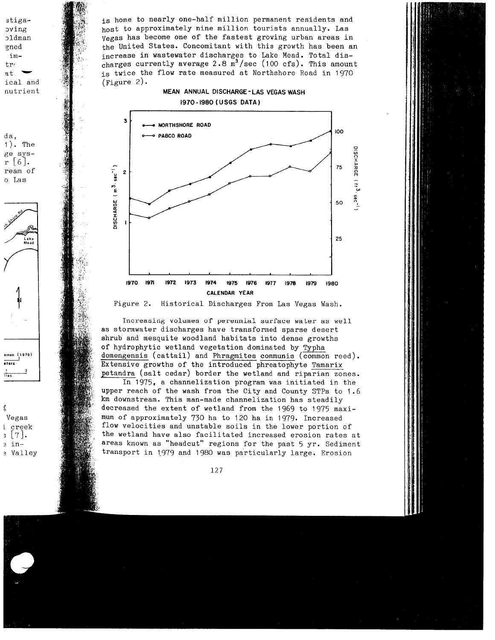is home to nearly one-half million permanent residents and host to approximately nine million tourists annually. Las Vegas has become one of the fastest growing urban areas in the United States. Concomitant with this growth has been an increase in wastewater discharges to Lake Mead. Total discharges currently average 2.8  $m^3$ /sec (100 cfs). This amount is twice the flow rate measured at Northshore Road in 1970 (Figure 2).

# MEAN ANNUAL DISCHARGE-LAS VEGAS WASH







Increasing volumes of perennial surface water as well as stormwater discharges have transformed sparse desert shrub and mesquite woodland habitats into dense growths of hydrophytic wetland vegetation dominated by Typha domengensis (cattail) and Phragmites communis (common reed). Extensive growths of the introduced phreatophyte Tamarix petandra (salt cedar) border the wetland and riparian zones.

In 1975, a channelization program was initiated in the upper reach of the wash from the City and County STPs to 1.6 km downstream. This man-made channelization has steadily decreased the extent of wetland from the 1969 to 1975 maximum of approximately 730 ha to 120 ha in 1979. Increased flow velocities and unstable soils in the lower portion of the wetland have also facilitated increased erosion rates at areas known as "headcut" regions for the past 5 yr. Sediment transport in 1979 and 1980 was particularly large. Erosion

127



da,  $1$ . The ge sys $r \mid 6 \mid.$ ream of o Las

stiga-

oldman

oving

gned

im-

ical and nutrient

tr.

яť.

eman (1976)  $......$ 

Ļ Vegas l creek  $\frac{1}{2}$  [7]. ∍ in– e Valley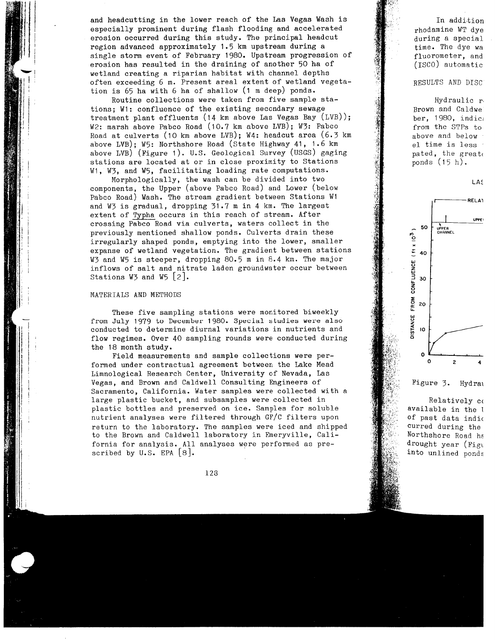and headcutting in the lower reach of the Las Vegas Wash is especially prominent during flash flooding and accelerated erosion occurred during this study. The principal headcut region advanced approximately 1.5 km upstream during a single storm event of February 1980. Upstream progression of erosion has resulted in the draining of another 50 ha of wetland creating a riparian habitat with channel depths often exceeding 6 m. Present areal extent of wetland vegeta tion is 65 ha with 6 ha of shallow (1 m deep) ponds.

Routine collections were taken from five sample sta tions; W1: confluence of the existing secondary sewage treatment plant effluents (14 km above Las Vegas Bay (LVB)); W2: marsh above Pabco Road (10.7 km above LVB); W3: Pabco Road at culverts (10 km above LVB); W4: headcut area (6.3 km above LVB); W5: Northshore Road (State Highway 41, 1.6 km above LVB) (Figure 1). U.S. Geological Survey (USGS) gaging stations are located at or in close proximity to Stations W1, W3, and W5, facilitating loading rate computations.

Morphologically, the wash can be divided into two components, the Upper (above Pabco Road) and Lower (below Pabco Road) Wash. The stream gradient between Stations W1 and W3 is gradual, dropping 31-7 m in 4 km. The largest extent of Typha occurs in this reach of stream. After crossing Pabco Road via culverts, waters collect in the previously mentioned shallow ponds. Culverts drain these irregularly shaped ponds, emptying into the lower, smaller expanse of wetland vegetation. The gradient between stations W3 and W5 is steeper, dropping 80.5 m in 8.4 km. The major inflows of salt and nitrate laden groundwater occur between Stations  $W_5$  and  $W_5$   $[2]$ .

## MATERIALS AND METHODS

These five sampling stations were monitored biweekly from July 1979 to December 1980. Special studies were also conducted to determine diurnal variations in nutrients and flow regimes. Over 40 sampling rounds were conducted during the 18 month study.

Field measurements and sample collections were per formed under contractual agreement between the Lake Mead Limnological Research Center, University of Nevada, Las Vegas, and Brown and Caldwell Consulting Engineers of Sacramento, California. Water samples were collected with a large plastic bucket, and subsamples were collected in plastic bottles and preserved on ice. Samples for soluble nutrient analyses were filtered through GF/C filters upon return to the laboratory. The samples were iced and shipped to the Brown and Caldwell laboratory in Emeryville, Cali fornia for analysis. All analyses were performed as pre scribed by U.S. EPA [8].

123

#### RESULTS AND DISC

Hydraulic r< Brown and Caldwe ber, 1980, indie; from the STPs to above and below el time is less pated, the greate ponds (15 h).

LAS



Figure 3. Hydrai

Relatively cc available in the 1 of past data indie curred during the Northshore Road ha drought year (Figu into unlined ponds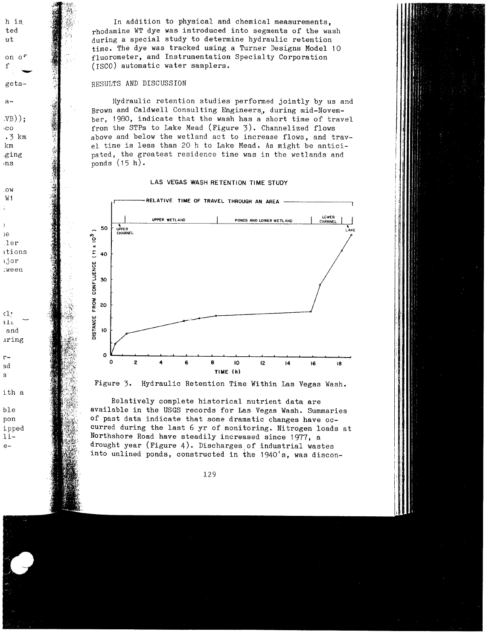In addition to physical and chemical measurements, rhodamine WT dye was introduced into segments of the wash during a special study to determine hydraulic retention time. The dye was tracked using a Turner Designs Model 10 fluorometer, and Instrumentation Specialty Corporation (ISCO) automatic water samplers.

## RESULTS AND DISCUSSION

Hydraulic retention studies performed jointly by us and Brown and Caldwell Consulting Engineers., during mid-Novem ber, 1980, indicate that the wash has a short time of travel from the STPs to Lake Mead (Figure 3). Channelized flows above and below the wetland act to increase flows, and trav el time is less than 20 h to Lake Mead. As might be antici pated, the greatest residence time was in the wetlands and ponds (15 h).

#### **LAS VEGAS WASH RETENTION TIME STUDY**



Relatively complete historical nutrient data are available in the USGS records for Las Vegas Wash. Summaries of past data indicate that some dramatic changes have oc curred during the last 6 yr of monitoring. Nitrogen loads at Northshore Road have steadily increased since 1977, a drought year (Figure 4). Discharges of industrial wastes into unlined ponds, constructed in the 1940's, was discon-

129



**IN** 

h is ted ut

on of  $f$ 

geta-

 $(VB)$ ;  $\overline{c}$ o  $.3 \text{ km}$  $km$ ging  $\mathbf{n}\mathbf{s}$ 

 $a -$ 

OW W1

è  $e$ 

 $.1er$ ations ijor tween

k13 ala and uring

 $r-$ 

эd  $\mathtt{s}$ 

ith a

ble pon ipped 1i $e-$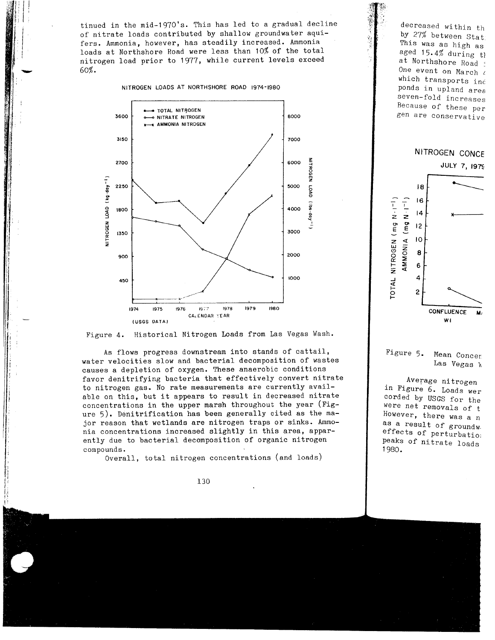tinued in the mid-1970's. This has led to a gradual decline of nitrate loads contributed by shallow groundwater aqui fers. Ammonia, however, has steadily increased. Ammonia loads at Northshore Road were less than 10\$ of the total nitrogen load prior to 1977, while current levels exceed  $60\%$ .

**NITROGEN LOADS AT NORTHSHORE ROAD I974-I980**





As flows progress downstream into stands of cattail, water velocities slow and bacterial decomposition of wastes causes a depletion of oxygen. These anaerobic conditions favor denitrifying bacteria that effectively convert nitrate to nitrogen gas. No rate measurements are currently avail able on this, but it appears to result in decreased nitrate concentrations in the upper marsh throughout the year (Fig ure 5). Denitrification has been generally cited as the major reason that wetlands are nitrogen traps or sinks. Ammo nia concentrations increased slightly in this area, appar ently due to bacterial decomposition of organic nitrogen compounds.

Overall, total nitrogen concentrations (and loads)

130





Figure 5. Mean Concer. Las Vegas W

Average nitrogen in Figure 6. Loads wer corded by USGS for the were net removals of t However, there was a n as a result of groundw. effects of perturbatio; peaks of nitrate loads 1980.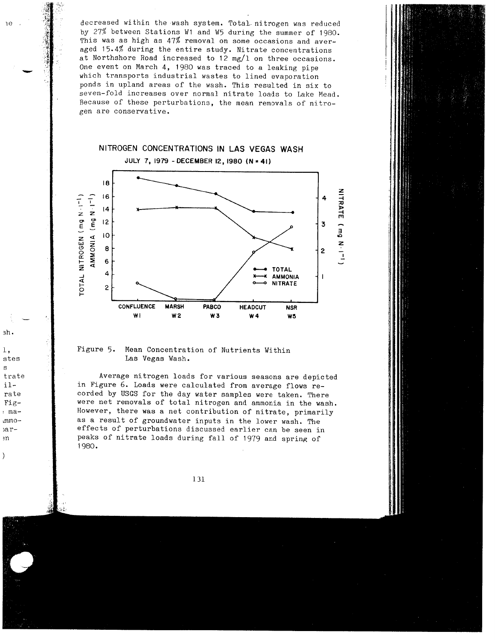decreased within the wash system. Total- nitrogen was reduced by 21% between Stations W1 and W5 during the summer of 1980. This was as high as 47% removal on some occasions and averaged 15.4% during the entire study. Nitrate concentrations at Northshore Road increased to 12 mg/1 on three occasions. One event on March 4, 1980 was traced to a leaking pipe which transports industrial wastes to lined evaporation ponds in upland areas of the wash. This resulted in six to seven-fold increases over normal nitrate loads to Lake Mead. Because of these perturbations, the mean removals of nitro gen are conservative.



# Figure 5- Mean Concentration of Nutrients Within Las Vegas Wash.

Average nitrogen loads for various seasons are depicted in Figure 6. Loads were calculated from average flows re corded by USGS for the day water samples were taken. There were net removals of total nitrogen and ammonia in the wash. However, there was a net contribution of nitrate, primarily as a result of groundwater inputs in the lower wash. The effects of perturbations discussed earlier can be seen in peaks of nitrate loads during fall of 1979 and spring of 1980.

131

stes S trate  $i1$ rate  $Fig. :$  ma $mmO 28r$ ξ'n

sh.

l,

<sub>1e</sub>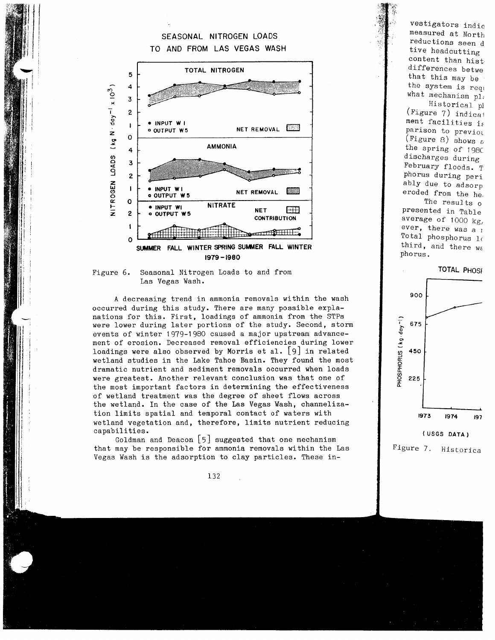# SEASONAL NITROGEN LOADS TO AND FROM LAS VEGAS WASH





A decreasing trend in ammonia removals within the wash occurred during this study. There are many possible expla nations for this. First, loadings of ammonia from the STPs were lower during later portions of the study. Second, storm events of winter 1979-1980 caused a major upstream advance ment of erosion. Decreased removal efficiencies during lower loadings were also observed by Morris et al. [9] in related wetland studies in the Lake Tahoe Basin. They found the most dramatic nutrient and sediment removals occurred when loads were greatest. Another relevant conclusion was that one of the most important factors in determining the effectiveness of wetland treatment was the degree of sheet flows across the wetland. In the case of the Las Vegas Wash, channeliza tion limits spatial and temporal contact of waters with wetland vegetation and, therefore, limits nutrient reducing capabilities.

Goldman and Deacon [5] suggested that one mechanism that may be responsible for ammonia removals within the Las Vegas Wash is the adsorption to clay particles. These in-

132

vestigators indie measured at North reductions seen d tive headcutting content than hist differences betwe that this may be the system is reqi what mechanism pl; Historical pi (Figure 7) indical ment facilities is

parison to previou (Figure 8) shows  $\epsilon$ the spring of 198C discharges during February floods. T phorus during peri ably due to adsorp eroded from the he.

The results o presented in Table average of 1000  $kg$ ever, there was a i Total phosphorus lc third, and there wa phorus.





Figure 7. Historica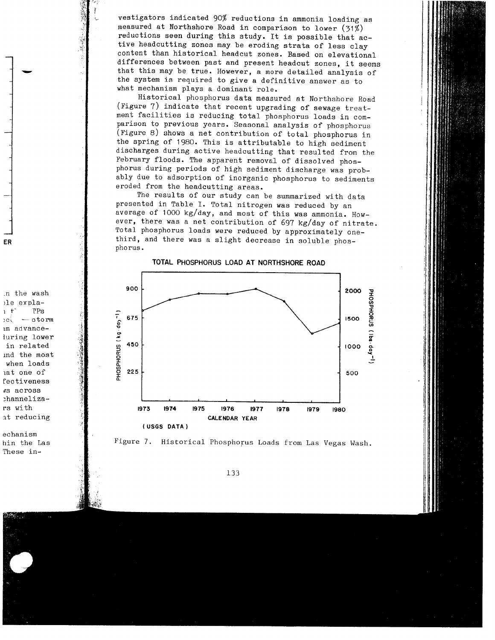vestigators indicated 90% reductions in ammonia loading as measured at Northshore Road in comparison to lower (31%) reductions seen during this study. It is possible that active headcutting zones may be eroding strata of less clay content than historical headcut zones. Based on elevational differences between past and present headcut zones, it seems that this may be true. However, a more detailed analysis of the system is required to give a definitive answer as to what mechanism plays a dominant role.

Historical phosphorus data measured at Northshore Road (Figure 7) indicate that recent upgrading of sewage treatment facilities is reducing total phosphorus loads in comparison to previous years. Seasonal analysis of phosphorus (Figure 8) shows a net contribution of total phosphorus in the spring of 1980. This is attributable to high sediment discharges during active headcutting that resulted from the February floods. The apparent removal of dissolved phosphorus during periods of high sediment discharge was probably due to adsorption of inorganic phosphorus to sediments eroded from the headcutting areas.

The results of our study can be summarized with data presented in Table I. Total nitrogen was reduced by an average of 1000 kg/day, and most of this was ammonia. However, there was a net contribution of 697 kg/day of nitrate. Total phosphorus loads were reduced by approximately onethird, and there was a slight decrease in soluble phosphorus.





133

ER

n the wash ble expla- $1 +$  $PPs$  $-$  storm εοί am advanceluring lower in related ind the most when loads at one of fectiveness NS across channelizars with at reducing

echanism hin the Las These in-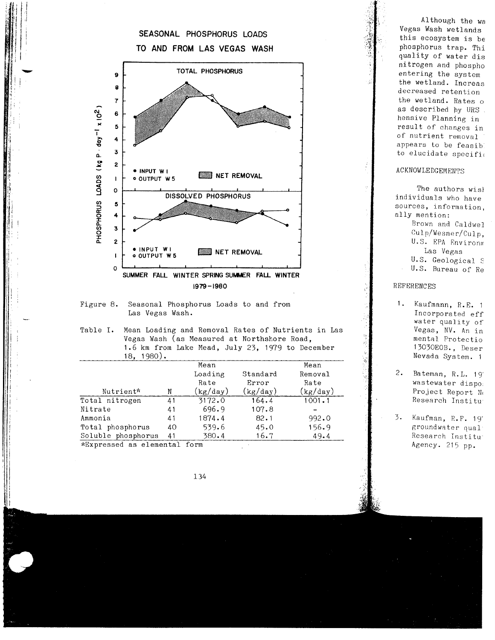



Table I. Mean Loading and Removal Rates of Nutrients in Las Vegas Wash (as Measured at Northshore Road, 1.6 km from Lake Mead, July 23, 1979 to December 18, 1980).

|                              |    | Mean     |          | Mean<br>Removal |
|------------------------------|----|----------|----------|-----------------|
|                              |    | Loading  | Standard |                 |
|                              |    | Rate     | Error    | Rate            |
| Nutrient*                    | N  | (kg/day) | (kg/day) | (kg/day)        |
| Total nitrogen               | 41 | 3172.0   | 164.4    | 1001.1          |
| Nitrate                      | 41 | 696.9    | 107.8    |                 |
| Ammonia                      | 41 | 1874.4   | 82.1     | 992.0           |
| Total phosphorus             | 40 | 539.6    | 45.0     | 156.9           |
| Soluble phosphorus           | 41 | 380.4    | 16.7     | 49.4            |
| *Expressed as elemental form |    |          |          |                 |

134

Las Vegas U.S. Geological S U.S. Bureau of Re

#### REFERENCES

V.

- 1. Kaufmann, R.E. 1 Incorporated eff water quality of Vegas, NV. An in mental Protectio 13030EOB., Deser Nevada System. 1
- 2. Bateman, R.L. 19' wastewater dispo Project Report Mi Research Institu'
- 3. Kaufman, R.F. 19' groundwater qual Research Institu" Agency. 215 pp.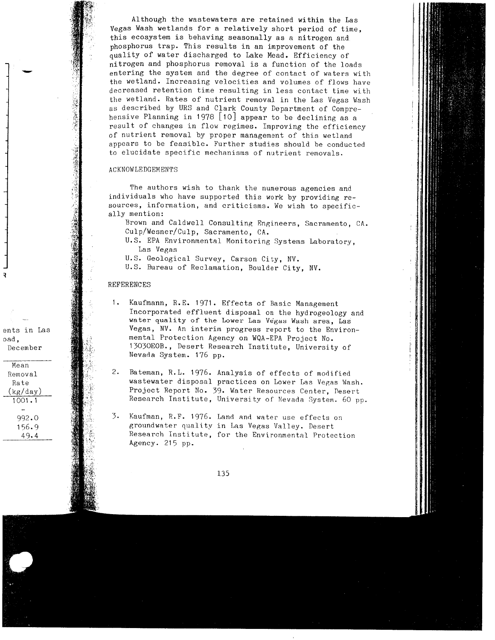Although the wastewaters are retained within the Las Vegas Wash wetlands for a relatively short period of time, this ecosystem is behaving seasonally as a nitrogen and phosphorus trap. This results in an improvement of the quality of water discharged to Lake Mead. Efficiency of nitrogen and phosphorus removal is a function of the loads entering the system and the degree of contact of waters with the wetland. Increasing velocities and volumes of flows have decreased retention time resulting in less contact time with the wetland. Rates of nutrient removal in the Las Vegas Wash as described by URS and Clark County Department of Compre hensive Planning in 1978 [10] appear to be declining as a result of changes in flow regimes. Improving the efficiency of nutrient removal by proper management of this wetland appears to be feasible. Further studies should be conducted to elucidate specific mechanisms of nutrient removals.

# ACKNOWLEDGEMENTS

The authors wish to thank the numerous agencies and individuals who have supported this work by providing re sources, information, and criticisms. We wish to specific ally mention:

Brown and Caldwell Consulting Engineers, Sacramento, CA. Culp/Wesner/Culp, Sacramento, CA.

- U.S. EPA Environmental Monitoring Systems Laboratory, Las Vegas
- U.S. Geological Survey, Carson City, NV.
- U.S. Bureau of Reclamation, Boulder City, NV.

## REFERENCES

- 1. Kaufmann, R.E. 1971. Effects of Basic Management Incorporated effluent disposal on the hydrogeology and water quality of the Lower Las Vegas Wash area, Las Vegas, NV. An interim progress report to the Environ mental Protection Agency on WQA-EPA Project No. 13030EOB., Desert Research Institute, University of Nevada System. 176 pp.
- 2. Bateman, R.L. 1976. Analysis of effects of modified wastewater disposal practices on Lower Las Vegas Wash. Project Report No. 39- Water Resources Center, Desert Research Institute, University of Nevada System. 60 pp.
- Kaufman, R.F. 1976. Land and water use effects on groundwater quality in Las Vegas Valley. Desert Research Institute, for the Environmental Protection Agency. 215 pp.

ents in Las oad. December

Mean Removal Rate  $(kg/day)$  $1001.1$ 992.0 156.9 49.4